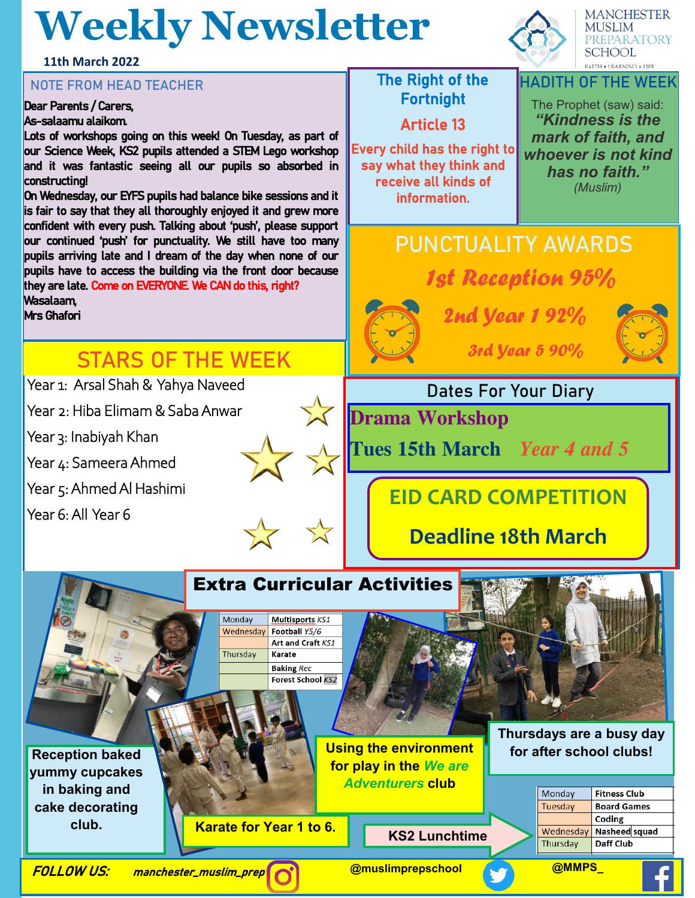# **Weekly Newsletter**

**11th March 2022**

## **NOTE FROM HEAD TEACHER The Right of the**

#### Dear Parents / Carers,

#### As-salaamu alaikom.

Lots of workshops going on this week! On Tuesday, as part of our Science Week, KS2 pupils attended a STEM Lego workshop and it was fantastic seeing all our pupils so absorbed in constructing!

On Wednesday, our EYFS pupils had balance bike sessions and it is fair to say that they all thoroughly enjoyed it and grew more confident with every push. Talking about 'push', please support our continued 'push' for punctuality. We still have too many pupils arriving late and I dream of the day when none of our pupils have to access the building via the front door because they are late. Come on EVERYONE. We CAN do this, right? Wasalaam,

Mrs Ghafori

## **STARS OF THE WEEK**

Year 1: Arsal Shah & Yahya Naveed

Year 2: Hiba Elimam & Saba Anwar

Year 3: Inabiyah Khan

Year 4: Sameera Ahmed

Year 5: Ahmed Al Hashimi

Year 6: All Year 6





**MANCHESTER MUSLIM** PREPARATORY **SCHOOL FAITH . LEARNING . LIFE** 

# Fortnight

Article 13

Every child has the right to say what they think and receive all kinds of information.

#### **HADITH OF THE WEEK**

The Prophet (saw) said: *"Kindness is the mark of faith, and whoever is not kind has no faith." (Muslim)*

# **PUNCTUALITY AWARDS** 1st Reception 95%



2nd Year 1 92%



3rd Year 5 90%

### **Dates For Your Diary**

**Drama Workshop** 

**Tues 15th March** *Year 4 and 5* 

## **EID CARD COMPETITION**

## **Deadline 18th March**